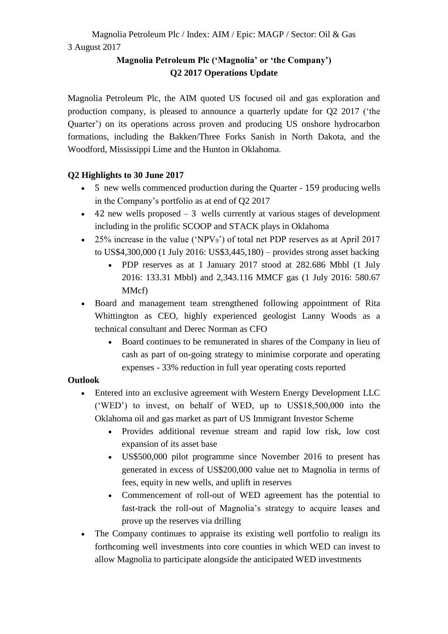# **Magnolia Petroleum Plc ('Magnolia' or 'the Company') Q2 2017 Operations Update**

Magnolia Petroleum Plc, the AIM quoted US focused oil and gas exploration and production company, is pleased to announce a quarterly update for Q2 2017 ('the Quarter') on its operations across proven and producing US onshore hydrocarbon formations, including the Bakken/Three Forks Sanish in North Dakota, and the Woodford, Mississippi Lime and the Hunton in Oklahoma.

## **Q2 Highlights to 30 June 2017**

- 5 new wells commenced production during the Quarter 159 producing wells in the Company's portfolio as at end of Q2 2017
- $\bullet$  42 new wells proposed  $-3$  wells currently at various stages of development including in the prolific SCOOP and STACK plays in Oklahoma
- 25% increase in the value ('NPV<sub>9</sub>') of total net PDP reserves as at April 2017 to US\$4,300,000 (1 July 2016: US\$3,445,180) – provides strong asset backing
	- PDP reserves as at 1 January 2017 stood at 282.686 Mbbl (1 July 2016: 133.31 Mbbl) and 2,343.116 MMCF gas (1 July 2016: 580.67 MMcf)
- Board and management team strengthened following appointment of Rita Whittington as CEO, highly experienced geologist Lanny Woods as a technical consultant and Derec Norman as CFO
	- Board continues to be remunerated in shares of the Company in lieu of cash as part of on-going strategy to minimise corporate and operating expenses - 33% reduction in full year operating costs reported

## **Outlook**

- Entered into an exclusive agreement with Western Energy Development LLC ('WED') to invest, on behalf of WED, up to US\$18,500,000 into the Oklahoma oil and gas market as part of US Immigrant Investor Scheme
	- Provides additional revenue stream and rapid low risk, low cost expansion of its asset base
	- US\$500,000 pilot programme since November 2016 to present has generated in excess of US\$200,000 value net to Magnolia in terms of fees, equity in new wells, and uplift in reserves
	- Commencement of roll-out of WED agreement has the potential to fast-track the roll-out of Magnolia's strategy to acquire leases and prove up the reserves via drilling
- The Company continues to appraise its existing well portfolio to realign its forthcoming well investments into core counties in which WED can invest to allow Magnolia to participate alongside the anticipated WED investments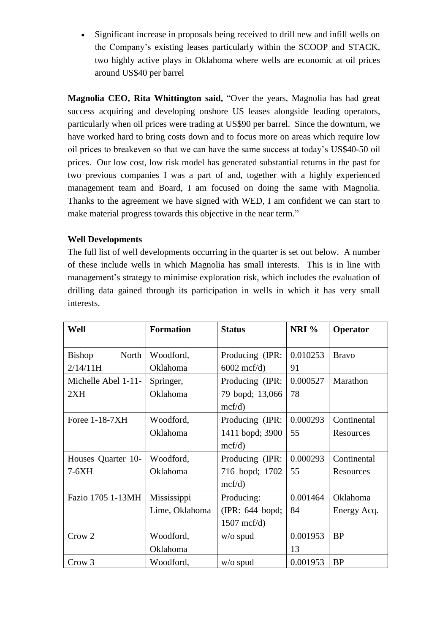• Significant increase in proposals being received to drill new and infill wells on the Company's existing leases particularly within the SCOOP and STACK, two highly active plays in Oklahoma where wells are economic at oil prices around US\$40 per barrel

**Magnolia CEO, Rita Whittington said,** "Over the years, Magnolia has had great success acquiring and developing onshore US leases alongside leading operators, particularly when oil prices were trading at US\$90 per barrel. Since the downturn, we have worked hard to bring costs down and to focus more on areas which require low oil prices to breakeven so that we can have the same success at today's US\$40-50 oil prices. Our low cost, low risk model has generated substantial returns in the past for two previous companies I was a part of and, together with a highly experienced management team and Board, I am focused on doing the same with Magnolia. Thanks to the agreement we have signed with WED, I am confident we can start to make material progress towards this objective in the near term."

### **Well Developments**

The full list of well developments occurring in the quarter is set out below. A number of these include wells in which Magnolia has small interests. This is in line with management's strategy to minimise exploration risk, which includes the evaluation of drilling data gained through its participation in wells in which it has very small interests.

| Well                | <b>Formation</b> | <b>Status</b>        | NRI %    | Operator     |
|---------------------|------------------|----------------------|----------|--------------|
| Bishop<br>North     | Woodford,        | Producing (IPR:      | 0.010253 | <b>Bravo</b> |
| 2/14/11H            | Oklahoma         | $6002 \text{ mcf/d}$ | 91       |              |
| Michelle Abel 1-11- | Springer,        | Producing (IPR:      | 0.000527 | Marathon     |
| 2XH                 | Oklahoma         | 79 bopd; 13,066      | 78       |              |
|                     |                  | mcf/d)               |          |              |
| Foree 1-18-7XH      | Woodford,        | Producing (IPR:      | 0.000293 | Continental  |
|                     | Oklahoma         | 1411 bopd; 3900      | 55       | Resources    |
|                     |                  | mcf/d)               |          |              |
| Houses Quarter 10-  | Woodford,        | Producing (IPR:      | 0.000293 | Continental  |
| $7-6XH$             | Oklahoma         | 716 bopd; 1702       | 55       | Resources    |
|                     |                  | mcf/d)               |          |              |
| Fazio 1705 1-13MH   | Mississippi      | Producing:           | 0.001464 | Oklahoma     |
|                     | Lime, Oklahoma   | (IPR: 644 bopd;      | 84       | Energy Acq.  |
|                     |                  | $1507 \text{ mcf/d}$ |          |              |
| Crow 2              | Woodford,        | $w/o$ spud           | 0.001953 | <b>BP</b>    |
|                     | Oklahoma         |                      | 13       |              |
| Crow 3              | Woodford,        | $w/o$ spud           | 0.001953 | <b>BP</b>    |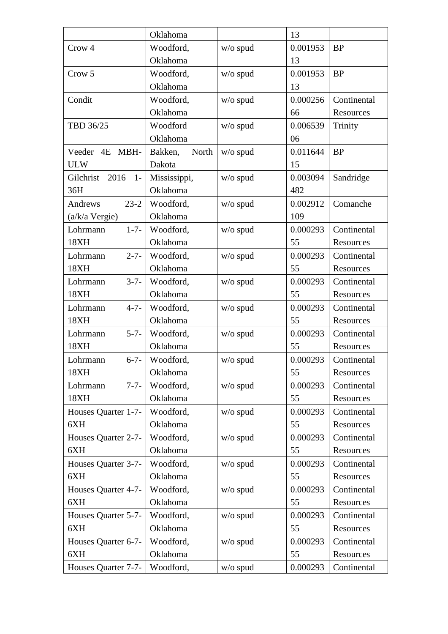|                         | Oklahoma         |            | 13       |             |
|-------------------------|------------------|------------|----------|-------------|
| Crow <sub>4</sub>       | Woodford,        | $w/o$ spud | 0.001953 | <b>BP</b>   |
|                         | Oklahoma         |            | 13       |             |
| Crow 5                  | Woodford,        | $w/o$ spud | 0.001953 | <b>BP</b>   |
|                         | Oklahoma         |            | 13       |             |
| Condit                  | Woodford,        | $w/o$ spud | 0.000256 | Continental |
|                         | Oklahoma         |            | 66       | Resources   |
| TBD 36/25               | Woodford         | $w/o$ spud | 0.006539 | Trinity     |
|                         | Oklahoma         |            | 06       |             |
| Veeder 4E<br>MBH-       | North<br>Bakken, | $w/o$ spud | 0.011644 | <b>BP</b>   |
| <b>ULW</b>              | Dakota           |            | 15       |             |
| Gilchrist 2016<br>$1 -$ | Mississippi,     | $w/o$ spud | 0.003094 | Sandridge   |
| 36H                     | Oklahoma         |            | 482      |             |
| $23 - 2$<br>Andrews     | Woodford,        | $w/o$ spud | 0.002912 | Comanche    |
| (a/k/a Vergie)          | Oklahoma         |            | 109      |             |
| $1 - 7 -$<br>Lohrmann   | Woodford,        | $w/o$ spud | 0.000293 | Continental |
| 18XH                    | Oklahoma         |            | 55       | Resources   |
| $2 - 7 -$<br>Lohrmann   | Woodford,        | $w/o$ spud | 0.000293 | Continental |
| 18XH                    | Oklahoma         |            | 55       | Resources   |
| $3 - 7 -$<br>Lohrmann   | Woodford,        | w/o spud   | 0.000293 | Continental |
| 18XH                    | Oklahoma         |            | 55       | Resources   |
| $4 - 7 -$<br>Lohrmann   | Woodford,        | $w/o$ spud | 0.000293 | Continental |
| 18XH                    | Oklahoma         |            | 55       | Resources   |
| $5 - 7 -$<br>Lohrmann   | Woodford,        | $w/o$ spud | 0.000293 | Continental |
| 18XH                    | Oklahoma         |            | 55       | Resources   |
| $6 - 7 -$<br>Lohrmann   | Woodford,        | $w/o$ spud | 0.000293 | Continental |
| 18XH                    | Oklahoma         |            | 55       | Resources   |
| $7 - 7 -$<br>Lohrmann   | Woodford,        | $w/o$ spud | 0.000293 | Continental |
| 18XH                    | Oklahoma         |            | 55       | Resources   |
| Houses Quarter 1-7-     | Woodford,        | w/o spud   | 0.000293 | Continental |
| 6XH                     | Oklahoma         |            | 55       | Resources   |
| Houses Quarter 2-7-     | Woodford,        | w/o spud   | 0.000293 | Continental |
| 6XH                     | Oklahoma         |            | 55       | Resources   |
| Houses Quarter 3-7-     | Woodford,        | w/o spud   | 0.000293 | Continental |
| 6XH                     | Oklahoma         |            | 55       | Resources   |
| Houses Quarter 4-7-     | Woodford,        | $w/o$ spud | 0.000293 | Continental |
| 6XH                     | Oklahoma         |            | 55       | Resources   |
| Houses Quarter 5-7-     | Woodford,        | $w/o$ spud | 0.000293 | Continental |
| 6XH                     | Oklahoma         |            | 55       | Resources   |
| Houses Quarter 6-7-     | Woodford,        | $w/o$ spud | 0.000293 | Continental |
| 6XH                     | Oklahoma         |            | 55       | Resources   |
| Houses Quarter 7-7-     | Woodford,        | $w/o$ spud | 0.000293 | Continental |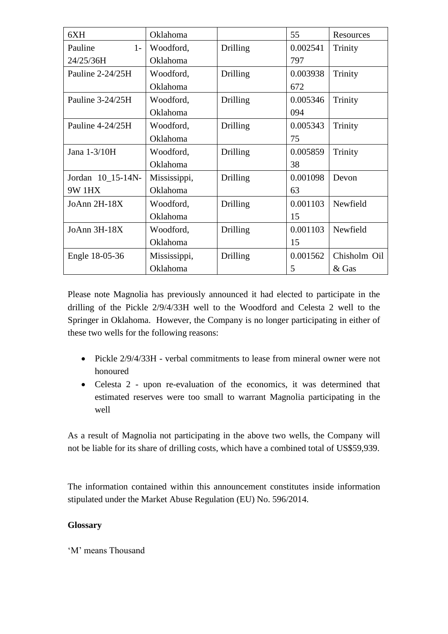| 6XH               | Oklahoma     |          | 55       | Resources    |
|-------------------|--------------|----------|----------|--------------|
| Pauline<br>$1 -$  | Woodford,    | Drilling | 0.002541 | Trinity      |
| 24/25/36H         | Oklahoma     |          | 797      |              |
| Pauline 2-24/25H  | Woodford,    | Drilling | 0.003938 | Trinity      |
|                   | Oklahoma     |          | 672      |              |
| Pauline 3-24/25H  | Woodford,    | Drilling | 0.005346 | Trinity      |
|                   | Oklahoma     |          | 094      |              |
| Pauline 4-24/25H  | Woodford,    | Drilling | 0.005343 | Trinity      |
|                   | Oklahoma     |          | 75       |              |
| Jana 1-3/10H      | Woodford,    | Drilling | 0.005859 | Trinity      |
|                   | Oklahoma     |          | 38       |              |
| Jordan 10_15-14N- | Mississippi, | Drilling | 0.001098 | Devon        |
| <b>9W 1HX</b>     | Oklahoma     |          | 63       |              |
| JoAnn $2H-18X$    | Woodford,    | Drilling | 0.001103 | Newfield     |
|                   | Oklahoma     |          | 15       |              |
| JoAnn 3H-18X      | Woodford,    | Drilling | 0.001103 | Newfield     |
|                   | Oklahoma     |          | 15       |              |
| Engle 18-05-36    | Mississippi, | Drilling | 0.001562 | Chisholm Oil |
|                   | Oklahoma     |          | 5        | & Gas        |

Please note Magnolia has previously announced it had elected to participate in the drilling of the Pickle 2/9/4/33H well to the Woodford and Celesta 2 well to the Springer in Oklahoma. However, the Company is no longer participating in either of these two wells for the following reasons:

- Pickle  $2/9/4/33H$  verbal commitments to lease from mineral owner were not honoured
- Celesta 2 upon re-evaluation of the economics, it was determined that estimated reserves were too small to warrant Magnolia participating in the well

As a result of Magnolia not participating in the above two wells, the Company will not be liable for its share of drilling costs, which have a combined total of US\$59,939.

The information contained within this announcement constitutes inside information stipulated under the Market Abuse Regulation (EU) No. 596/2014.

## **Glossary**

'M' means Thousand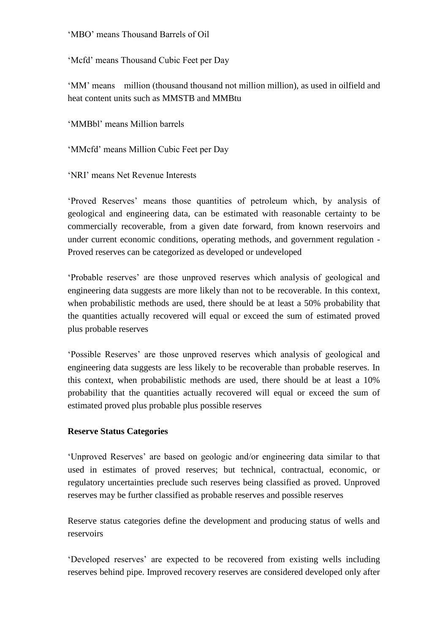#### 'MBO' means Thousand Barrels of Oil

'Mcfd' means Thousand Cubic Feet per Day

'MM' means million (thousand thousand not million million), as used in oilfield and heat content units such as MMSTB and MMBtu

'MMBbl' means Million barrels

'MMcfd' means Million Cubic Feet per Day

'NRI' means Net Revenue Interests

'Proved Reserves' means those quantities of petroleum which, by analysis of geological and engineering data, can be estimated with reasonable certainty to be commercially recoverable, from a given date forward, from known reservoirs and under current economic conditions, operating methods, and government regulation - Proved reserves can be categorized as developed or undeveloped

'Probable reserves' are those unproved reserves which analysis of geological and engineering data suggests are more likely than not to be recoverable. In this context, when probabilistic methods are used, there should be at least a 50% probability that the quantities actually recovered will equal or exceed the sum of estimated proved plus probable reserves

'Possible Reserves' are those unproved reserves which analysis of geological and engineering data suggests are less likely to be recoverable than probable reserves. In this context, when probabilistic methods are used, there should be at least a 10% probability that the quantities actually recovered will equal or exceed the sum of estimated proved plus probable plus possible reserves

### **Reserve Status Categories**

'Unproved Reserves' are based on geologic and/or engineering data similar to that used in estimates of proved reserves; but technical, contractual, economic, or regulatory uncertainties preclude such reserves being classified as proved. Unproved reserves may be further classified as probable reserves and possible reserves

Reserve status categories define the development and producing status of wells and reservoirs

'Developed reserves' are expected to be recovered from existing wells including reserves behind pipe. Improved recovery reserves are considered developed only after